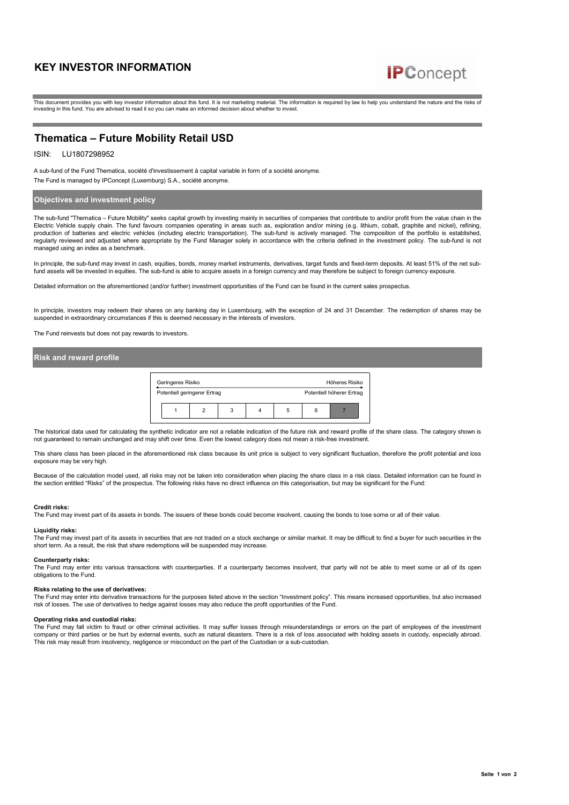# **KEY INVESTOR INFORMATION**



This document provides you with key investor information about this fund. It is not marketing material. The information is required by law to help you understand the nature and the risks of investing in this fund. You are advised to read it so you can make an informed decision about whether to invest.

# **Thematica – Future Mobility Retail USD**

## ISIN: LU1807298952

A sub-fund of the Fund Thematica, société d'investissement à capital variable in form of a société anonyme. The Fund is managed by IPConcept (Luxemburg) S.A., société anonyme.

# **Objectives and investment policy**

The sub-fund "Thematica – Future Mobility" seeks capital growth by investing mainly in securities of companies that contribute to and/or profit from the value chain in the Electric Vehicle supply chain. The fund favours companies operating in areas such as, exploration and/or mining (e.g. lithium, cobalt, graphite and nickel), refining, production of batteries and electric vehicles (including electric transportation). The sub-fund is actively managed. The composition of the portfolio is established, regularly reviewed and adjusted where appropriate by the Fund Manager solely in accordance with the criteria defined in the investment policy. The sub-fund is not managed using an index as a benchmark.

In principle, the sub-fund may invest in cash, equities, bonds, money market instruments, derivatives, target funds and fixed-term deposits. At least 51% of the net subfund assets will be invested in equities. The sub-fund is able to acquire assets in a foreign currency and may therefore be subject to foreign currency exposure

Detailed information on the aforementioned (and/or further) investment opportunities of the Fund can be found in the current sales prospectus.

In principle, investors may redeem their shares on any banking day in Luxembourg, with the exception of 24 and 31 December. The redemption of shares may be suspended in extraordinary circumstances if this is deemed necessary in the interests of investors.

The Fund reinvests but does not pay rewards to investors.

### **Risk and reward profile**

| Geringeres Risiko            |   |                           |  | Höheres Risiko |  |  |
|------------------------------|---|---------------------------|--|----------------|--|--|
| Potentiell geringerer Ertrag |   | Potentiell höherer Ertrag |  |                |  |  |
|                              | 3 | b                         |  |                |  |  |

The historical data used for calculating the synthetic indicator are not a reliable indication of the future risk and reward profile of the share class. The category shown is not guaranteed to remain unchanged and may shift over time. Even the lowest category does not mean a risk-free investment.

This share class has been placed in the aforementioned risk class because its unit price is subject to very significant fluctuation, therefore the profit potential and loss exposure may be very high.

Because of the calculation model used, all risks may not be taken into consideration when placing the share class in a risk class. Detailed information can be found in the section entitled "Risks" of the prospectus. The following risks have no direct influence on this categorisation, but may be significant for the Fund:

### **Credit risks:**

The Fund may invest part of its assets in bonds. The issuers of these bonds could become insolvent, causing the bonds to lose some or all of their value.

### **Liquidity risks:**

The Fund may invest part of its assets in securities that are not traded on a stock exchange or similar market. It may be difficult to find a buyer for such securities in the short term. As a result, the risk that share redemptions will be suspended may increase.

**Counterparty risks:**<br>The Fund may enter into various transactions with counterparties. If a counterparty becomes insolvent, that party will not be able to meet some or all of its open<br>obligations to the Fund.

### **Risks relating to the use of derivatives:**

The Fund may enter into derivative transactions for the purposes listed above in the section "Investment policy". This means increased opportunities, but also increased<br>risk of losses. The use of derivatives to hedge again

### **Operating risks and custodial risks:**

The Fund may fall victim to fraud or other criminal activities. It may suffer losses through misunderstandings or errors on the part of employees of the investment company or third parties or be hurt by external events, such as natural disasters. There is a risk of loss associated with holding assets in custody, especially abroad. This risk may result from insolvency, negligence or misconduct on the part of the Custodian or a sub-custodian.